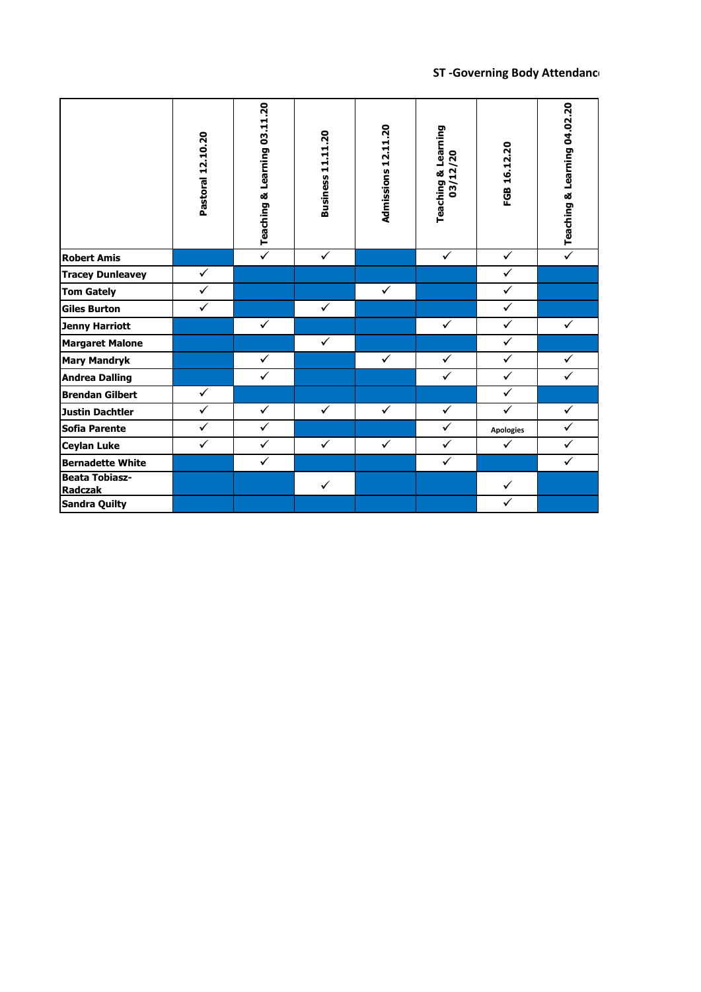## **ST -Governing Body Attendance**

|                                  | Pastoral 12.10.20       | Teaching & Learning 03.11.20 | <b>Business 11.11.20</b> | Admissions 12.11.20 | <b>Teaching &amp; Learning</b><br>03/12/20 | FGB 16.12.20     | Teaching & Learning 04.02.20 |
|----------------------------------|-------------------------|------------------------------|--------------------------|---------------------|--------------------------------------------|------------------|------------------------------|
| <b>Robert Amis</b>               |                         | $\overline{\checkmark}$      | $\checkmark$             |                     | $\checkmark$                               | $\checkmark$     | $\overline{\checkmark}$      |
| <b>Tracey Dunleavey</b>          | $\checkmark$            |                              |                          |                     |                                            | $\sqrt{}$        |                              |
| <b>Tom Gately</b>                | $\checkmark$            |                              |                          | $\checkmark$        |                                            | $\checkmark$     |                              |
| <b>Giles Burton</b>              | $\overline{\checkmark}$ |                              | $\checkmark$             |                     |                                            | $\checkmark$     |                              |
| <b>Jenny Harriott</b>            |                         | $\checkmark$                 |                          |                     | $\checkmark$                               | $\checkmark$     | $\checkmark$                 |
| <b>Margaret Malone</b>           |                         |                              | $\checkmark$             |                     |                                            | $\sqrt{}$        |                              |
| <b>Mary Mandryk</b>              |                         | $\checkmark$                 |                          | $\checkmark$        | $\checkmark$                               | $\checkmark$     | $\checkmark$                 |
| <b>Andrea Dalling</b>            |                         | ✓                            |                          |                     | $\checkmark$                               | $\checkmark$     | ✓                            |
| <b>Brendan Gilbert</b>           | $\checkmark$            |                              |                          |                     |                                            | $\checkmark$     |                              |
| <b>Justin Dachtler</b>           | $\checkmark$            | $\checkmark$                 | $\checkmark$             | $\checkmark$        | $\checkmark$                               | $\checkmark$     | $\checkmark$                 |
| <b>Sofia Parente</b>             | $\checkmark$            | $\checkmark$                 |                          |                     | $\checkmark$                               | <b>Apologies</b> | $\checkmark$                 |
| <b>Ceylan Luke</b>               | $\checkmark$            | $\checkmark$                 | $\checkmark$             | $\checkmark$        | $\checkmark$                               | $\checkmark$     | $\checkmark$                 |
| <b>Bernadette White</b>          |                         | $\checkmark$                 |                          |                     | $\overline{\checkmark}$                    |                  | $\overline{\checkmark}$      |
| <b>Beata Tobiasz-</b><br>Radczak |                         |                              | $\checkmark$             |                     |                                            | $\checkmark$     |                              |
| <b>Sandra Quilty</b>             |                         |                              |                          |                     |                                            | ✓                |                              |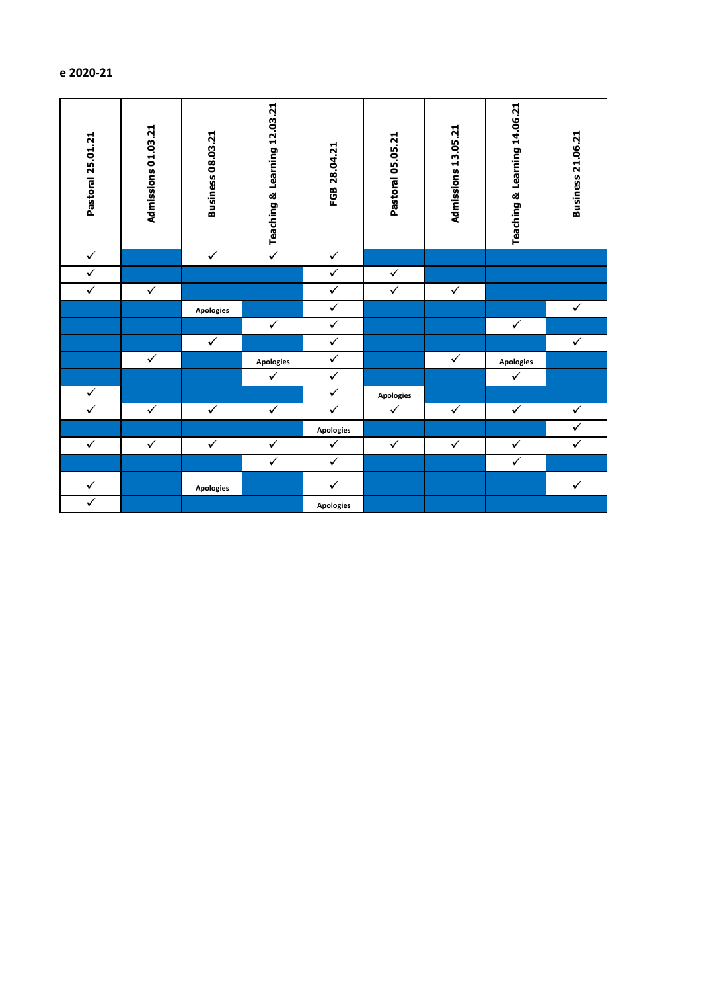| Pastoral 25.01.21 | Admissions 01.03.21 | <b>Business 08.03.21</b> | Teaching & Learning 12.03.21 | FGB 28.04.21            | Pastoral 05.05.21 | Admissions 13.05.21 | Teaching & Learning 14.06.21 | <b>Business 21.06.21</b> |
|-------------------|---------------------|--------------------------|------------------------------|-------------------------|-------------------|---------------------|------------------------------|--------------------------|
| $\checkmark$      |                     | $\checkmark$             | $\checkmark$                 | $\checkmark$            |                   |                     |                              |                          |
| $\checkmark$      |                     |                          |                              | $\checkmark$            | $\checkmark$      |                     |                              |                          |
| $\checkmark$      | $\checkmark$        |                          |                              | $\checkmark$            | $\checkmark$      | $\checkmark$        |                              |                          |
|                   |                     | <b>Apologies</b>         |                              | $\checkmark$            |                   |                     |                              | $\checkmark$             |
|                   |                     |                          | $\checkmark$                 | $\checkmark$            |                   |                     | $\checkmark$                 |                          |
|                   |                     | $\checkmark$             |                              | $\checkmark$            |                   |                     |                              | $\checkmark$             |
|                   | $\checkmark$        |                          | Apologies                    | $\checkmark$            |                   | $\checkmark$        | Apologies                    |                          |
|                   |                     |                          | $\checkmark$                 | $\checkmark$            |                   |                     | $\checkmark$                 |                          |
| $\checkmark$      |                     |                          |                              | $\checkmark$            | <b>Apologies</b>  |                     |                              |                          |
| $\checkmark$      | $\checkmark$        | $\checkmark$             | $\blacktriangledown$         | $\overline{\checkmark}$ | $\checkmark$      | $\checkmark$        | $\checkmark$                 | $\checkmark$             |
|                   |                     |                          |                              | <b>Apologies</b>        |                   |                     |                              | ✓                        |
| $\checkmark$      | $\checkmark$        | $\checkmark$             | $\checkmark$                 | $\checkmark$            | $\checkmark$      | $\checkmark$        | $\checkmark$                 | $\checkmark$             |
|                   |                     |                          | $\overline{\checkmark}$      | $\checkmark$            |                   |                     | $\overline{\checkmark}$      |                          |
| $\checkmark$      |                     | <b>Apologies</b>         |                              | $\checkmark$            |                   |                     |                              | $\checkmark$             |
| $\checkmark$      |                     |                          |                              | <b>Apologies</b>        |                   |                     |                              |                          |

## **ST -Governing Body Attendance 2020-21**